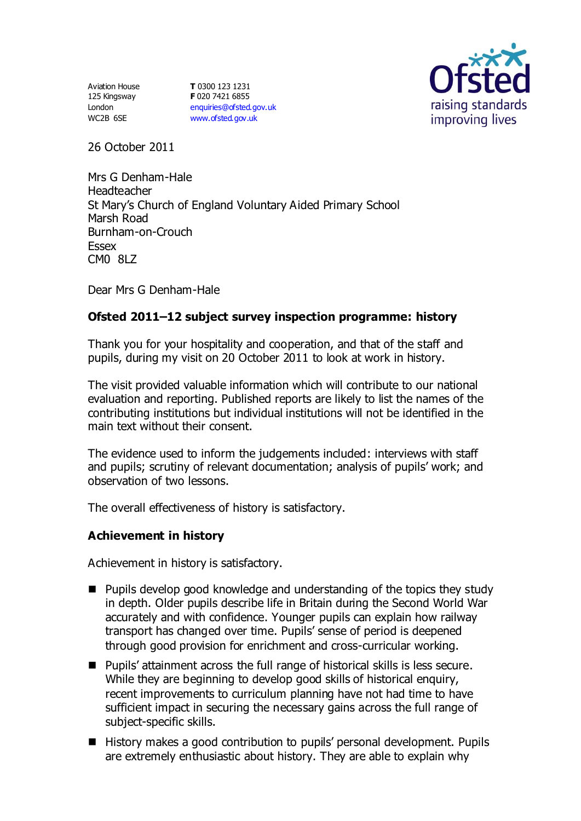Aviation House 125 Kingsway London WC2B 6SE

**T** 0300 123 1231 **F** 020 7421 6855 [enquiries@ofsted.gov.uk](mailto:enquiries@ofsted.gov.uk) [www.ofsted.gov.uk](http://www.ofsted.gov.uk/)



26 October 2011

Mrs G Denham-Hale Headteacher St Mary's Church of England Voluntary Aided Primary School Marsh Road Burnham-on-Crouch Essex CM0 8LZ

Dear Mrs G Denham-Hale

# **Ofsted 2011–12 subject survey inspection programme: history**

Thank you for your hospitality and cooperation, and that of the staff and pupils, during my visit on 20 October 2011 to look at work in history.

The visit provided valuable information which will contribute to our national evaluation and reporting. Published reports are likely to list the names of the contributing institutions but individual institutions will not be identified in the main text without their consent.

The evidence used to inform the judgements included: interviews with staff and pupils; scrutiny of relevant documentation; analysis of pupils' work; and observation of two lessons.

The overall effectiveness of history is satisfactory.

### **Achievement in history**

Achievement in history is satisfactory.

- Pupils develop good knowledge and understanding of the topics they study in depth. Older pupils describe life in Britain during the Second World War accurately and with confidence. Younger pupils can explain how railway transport has changed over time. Pupils' sense of period is deepened through good provision for enrichment and cross-curricular working.
- Pupils' attainment across the full range of historical skills is less secure. While they are beginning to develop good skills of historical enquiry, recent improvements to curriculum planning have not had time to have sufficient impact in securing the necessary gains across the full range of subject-specific skills.
- History makes a good contribution to pupils' personal development. Pupils are extremely enthusiastic about history. They are able to explain why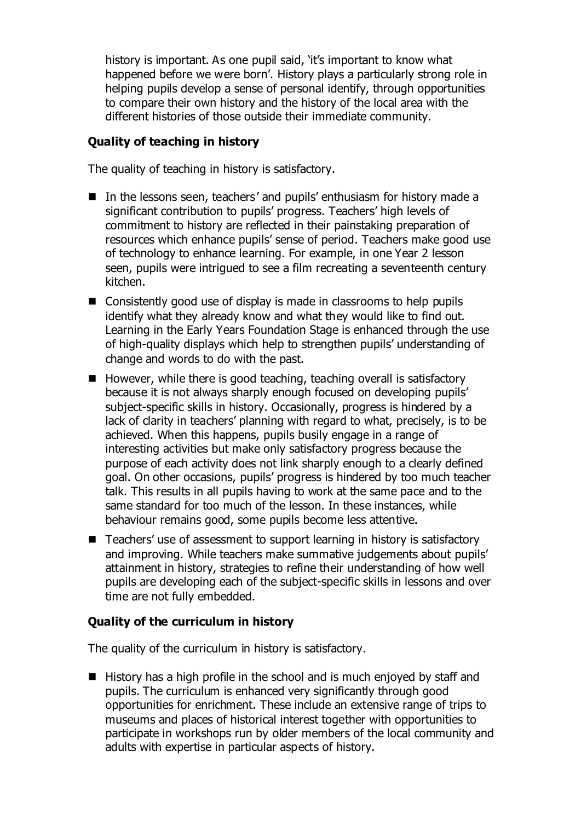history is important. As one pupil said, 'it's important to know what happened before we were born'. History plays a particularly strong role in helping pupils develop a sense of personal identify, through opportunities to compare their own history and the history of the local area with the different histories of those outside their immediate community.

## **Quality of teaching in history**

The quality of teaching in history is satisfactory.

- In the lessons seen, teachers' and pupils' enthusiasm for history made a significant contribution to pupils' progress. Teachers' high levels of commitment to history are reflected in their painstaking preparation of resources which enhance pupils' sense of period. Teachers make good use of technology to enhance learning. For example, in one Year 2 lesson seen, pupils were intrigued to see a film recreating a seventeenth century kitchen.
- Consistently good use of display is made in classrooms to help pupils identify what they already know and what they would like to find out. Learning in the Early Years Foundation Stage is enhanced through the use of high-quality displays which help to strengthen pupils' understanding of change and words to do with the past.
- $\blacksquare$  However, while there is good teaching, teaching overall is satisfactory because it is not always sharply enough focused on developing pupils' subject-specific skills in history. Occasionally, progress is hindered by a lack of clarity in teachers' planning with regard to what, precisely, is to be achieved. When this happens, pupils busily engage in a range of interesting activities but make only satisfactory progress because the purpose of each activity does not link sharply enough to a clearly defined goal. On other occasions, pupils' progress is hindered by too much teacher talk. This results in all pupils having to work at the same pace and to the same standard for too much of the lesson. In these instances, while behaviour remains good, some pupils become less attentive.
- Teachers' use of assessment to support learning in history is satisfactory and improving. While teachers make summative judgements about pupils' attainment in history, strategies to refine their understanding of how well pupils are developing each of the subject-specific skills in lessons and over time are not fully embedded.

### **Quality of the curriculum in history**

The quality of the curriculum in history is satisfactory.

 $\blacksquare$  History has a high profile in the school and is much enjoyed by staff and pupils. The curriculum is enhanced very significantly through good opportunities for enrichment. These include an extensive range of trips to museums and places of historical interest together with opportunities to participate in workshops run by older members of the local community and adults with expertise in particular aspects of history.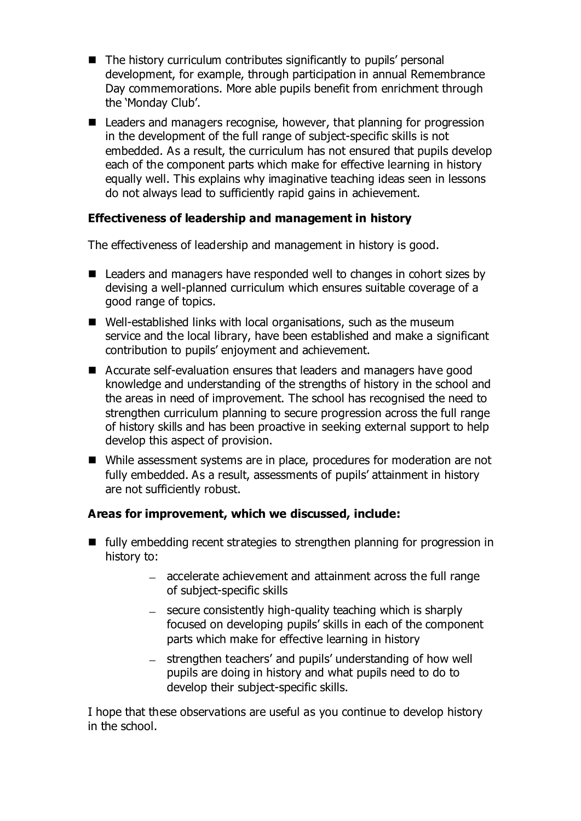- The history curriculum contributes significantly to pupils' personal development, for example, through participation in annual Remembrance Day commemorations. More able pupils benefit from enrichment through the 'Monday Club'.
- Leaders and managers recognise, however, that planning for progression in the development of the full range of subject-specific skills is not embedded. As a result, the curriculum has not ensured that pupils develop each of the component parts which make for effective learning in history equally well. This explains why imaginative teaching ideas seen in lessons do not always lead to sufficiently rapid gains in achievement.

# **Effectiveness of leadership and management in history**

The effectiveness of leadership and management in history is good.

- Leaders and managers have responded well to changes in cohort sizes by devising a well-planned curriculum which ensures suitable coverage of a good range of topics.
- Well-established links with local organisations, such as the museum service and the local library, have been established and make a significant contribution to pupils' enjoyment and achievement.
- Accurate self-evaluation ensures that leaders and managers have good knowledge and understanding of the strengths of history in the school and the areas in need of improvement. The school has recognised the need to strengthen curriculum planning to secure progression across the full range of history skills and has been proactive in seeking external support to help develop this aspect of provision.
- While assessment systems are in place, procedures for moderation are not fully embedded. As a result, assessments of pupils' attainment in history are not sufficiently robust.

# **Areas for improvement, which we discussed, include:**

- fully embedding recent strategies to strengthen planning for progression in history to:
	- $-$  accelerate achievement and attainment across the full range of subject-specific skills
	- secure consistently high-quality teaching which is sharply focused on developing pupils' skills in each of the component parts which make for effective learning in history
	- strengthen teachers' and pupils' understanding of how well pupils are doing in history and what pupils need to do to develop their subject-specific skills.

I hope that these observations are useful as you continue to develop history in the school.